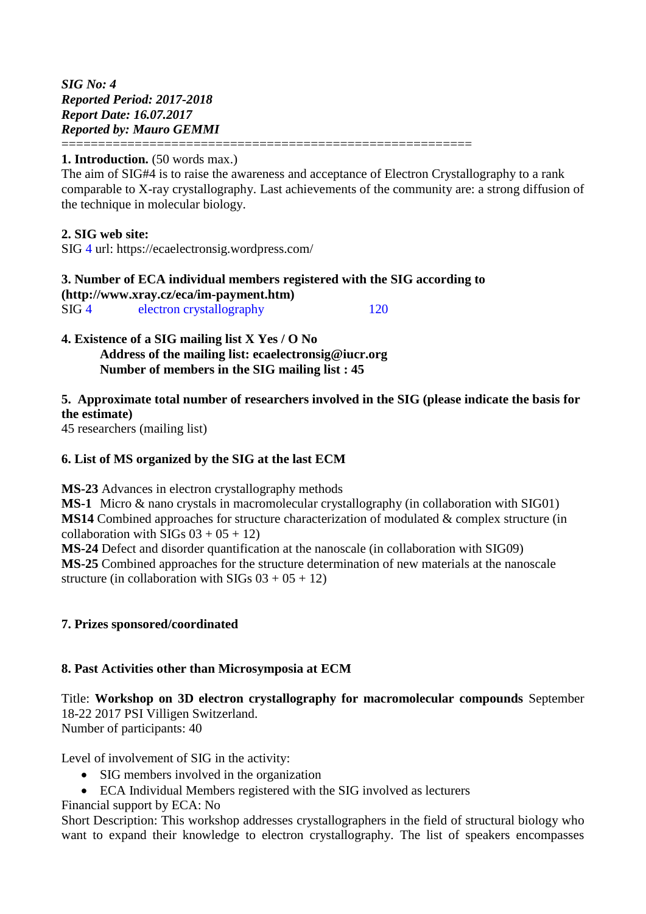*SIG No: 4 Reported Period: 2017-2018 Report Date: 16.07.2017 Reported by: Mauro GEMMI*

### **1. Introduction.** (50 words max.)

The aim of SIG#4 is to raise the awareness and acceptance of Electron Crystallography to a rank comparable to X-ray crystallography. Last achievements of the community are: a strong diffusion of the technique in molecular biology.

### **2. SIG web site:**

SIG 4 url: https://ecaelectronsig.wordpress.com/

| 3. Number of ECA individual members registered with the SIG according to<br>$(http://www.xray.cz/eca/im-payment.htm)$ |  |  |
|-----------------------------------------------------------------------------------------------------------------------|--|--|
|                                                                                                                       |  |  |

========================================================

### **4. Existence of a SIG mailing list X Yes / O No Address of the mailing list: ecaelectronsig@iucr.org Number of members in the SIG mailing list : 45**

## **5. Approximate total number of researchers involved in the SIG (please indicate the basis for the estimate)**

45 researchers (mailing list)

### **6. List of MS organized by the SIG at the last ECM**

**MS-23** Advances in electron crystallography methods

**MS-1** Micro & nano crystals in macromolecular crystallography (in collaboration with SIG01) **MS14** Combined approaches for structure characterization of modulated & complex structure (in collaboration with SIGs  $03 + 05 + 12$ 

**MS-24** Defect and disorder quantification at the nanoscale (in collaboration with SIG09) **MS-25** Combined approaches for the structure determination of new materials at the nanoscale structure (in collaboration with  $SIGs 03 + 05 + 12$ )

## **7. Prizes sponsored/coordinated**

## **8. Past Activities other than Microsymposia at ECM**

Title: **Workshop on 3D electron crystallography for macromolecular compounds** September 18-22 2017 PSI Villigen Switzerland. Number of participants: 40

Level of involvement of SIG in the activity:

- SIG members involved in the organization
- ECA Individual Members registered with the SIG involved as lecturers

Financial support by ECA: No

Short Description: This workshop addresses crystallographers in the field of structural biology who want to expand their knowledge to electron crystallography. The list of speakers encompasses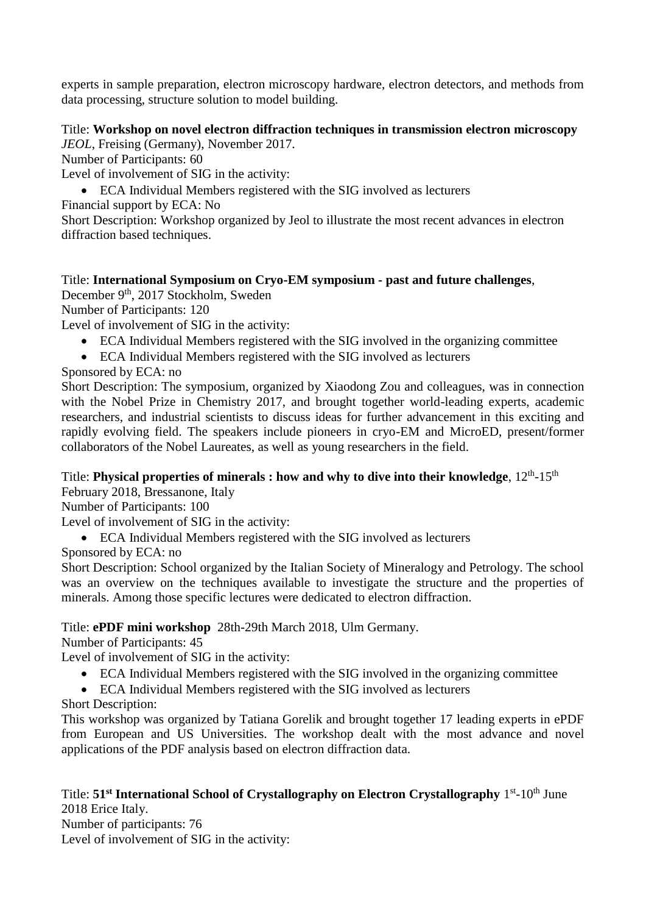experts in sample preparation, electron microscopy hardware, electron detectors, and methods from data processing, structure solution to model building.

# Title: **Workshop on novel electron diffraction techniques in transmission electron microscopy**

*JEOL*, Freising (Germany), November 2017.

Number of Participants: 60

Level of involvement of SIG in the activity:

ECA Individual Members registered with the SIG involved as lecturers

Financial support by ECA: No

Short Description: Workshop organized by Jeol to illustrate the most recent advances in electron diffraction based techniques.

# Title: **International Symposium on Cryo-EM symposium - past and future challenges**,

December 9<sup>th</sup>, 2017 Stockholm, Sweden

Number of Participants: 120

Level of involvement of SIG in the activity:

- ECA Individual Members registered with the SIG involved in the organizing committee
- ECA Individual Members registered with the SIG involved as lecturers

Sponsored by ECA: no

Short Description: The symposium, organized by Xiaodong Zou and colleagues, was in connection with the Nobel Prize in Chemistry 2017, and brought together world-leading experts, academic researchers, and industrial scientists to discuss ideas for further advancement in this exciting and rapidly evolving field. The speakers include pioneers in cryo-EM and MicroED, present/former collaborators of the Nobel Laureates, as well as young researchers in the field.

# Title: Physical properties of minerals : how and why to dive into their knowledge, 12<sup>th</sup>-15<sup>th</sup>

February 2018, Bressanone, Italy

Number of Participants: 100

Level of involvement of SIG in the activity:

ECA Individual Members registered with the SIG involved as lecturers

Sponsored by ECA: no

Short Description: School organized by the Italian Society of Mineralogy and Petrology. The school was an overview on the techniques available to investigate the structure and the properties of minerals. Among those specific lectures were dedicated to electron diffraction.

# Title: **ePDF mini workshop** 28th-29th March 2018, Ulm Germany.

Number of Participants: 45

Level of involvement of SIG in the activity:

- ECA Individual Members registered with the SIG involved in the organizing committee
- ECA Individual Members registered with the SIG involved as lecturers

Short Description:

This workshop was organized by Tatiana Gorelik and brought together 17 leading experts in ePDF from European and US Universities. The workshop dealt with the most advance and novel applications of the PDF analysis based on electron diffraction data.

Title: 51<sup>st</sup> International School of Crystallography on Electron Crystallography 1<sup>st</sup>-10<sup>th</sup> June 2018 Erice Italy.

Number of participants: 76 Level of involvement of SIG in the activity: